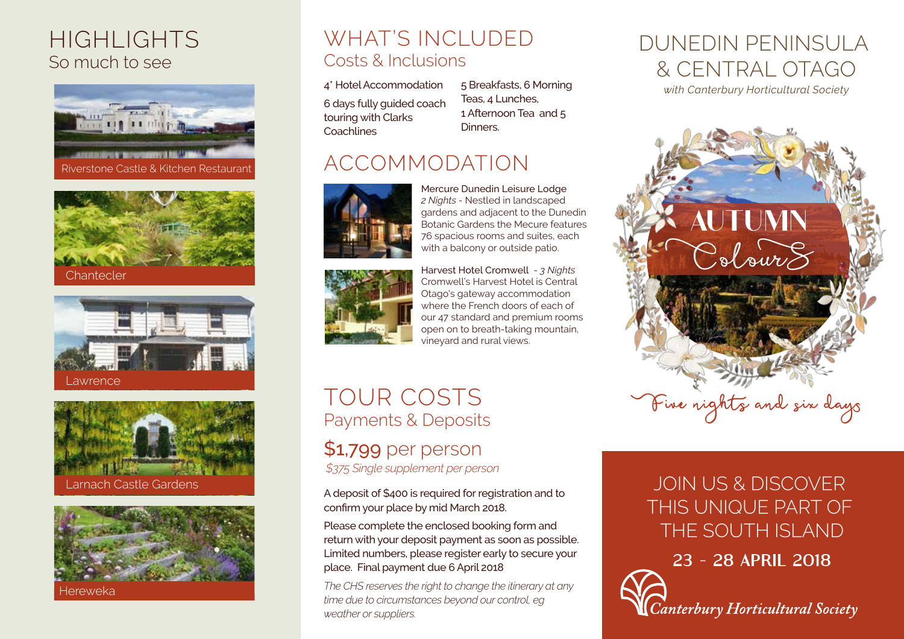## HIGHLIGHTS So much to see











Hereweka

## WHAT'S INCLUDED Costs & Inclusions

4\* Hotel Accommodation 6 days fully guided coach touring with Clarks **Coachlines** 

5 Breakfasts, 6 Morning Teas, 4 Lunches, 1 Afternoon Tea and 5 Dinners.

## ACCOMMODATION



Botanic Gardens the Mecure features 76 spacious rooms and suites, each with a balcony or outside patio. Harvest Hotel Cromwell *- 3 Nights*

Mercure Dunedin Leisure Lodge *2 Nights -* Nestled in landscaped gardens and adjacent to the Dunedin



Cromwell's Harvest Hotel is Central Otago's gateway accommodation where the French doors of each of our 47 standard and premium rooms open on to breath-taking mountain, vineyard and rural views.

# TOUR COSTS Payments & Deposits

\$1,799 per person *\$375 Single supplement per person*

A deposit of \$400 is required for registration and to confirm your place by mid March 2018.

Please complete the enclosed booking form and return with your deposit payment as soon as possible. Limited numbers, please register early to secure your place. Final payment due 6 April 2018

*The CHS reserves the right to change the itinerary at any time due to circumstances beyond our control, eg weather or suppliers.*

# DUNEDIN PENINSULA & CENTRAL OTAGO

*with Canterbury Horticultural Society*



## JOIN US & DISCOVER THIS UNIQUE PART OF THE SOUTH ISLAND

23 - 28 APRIL 2018

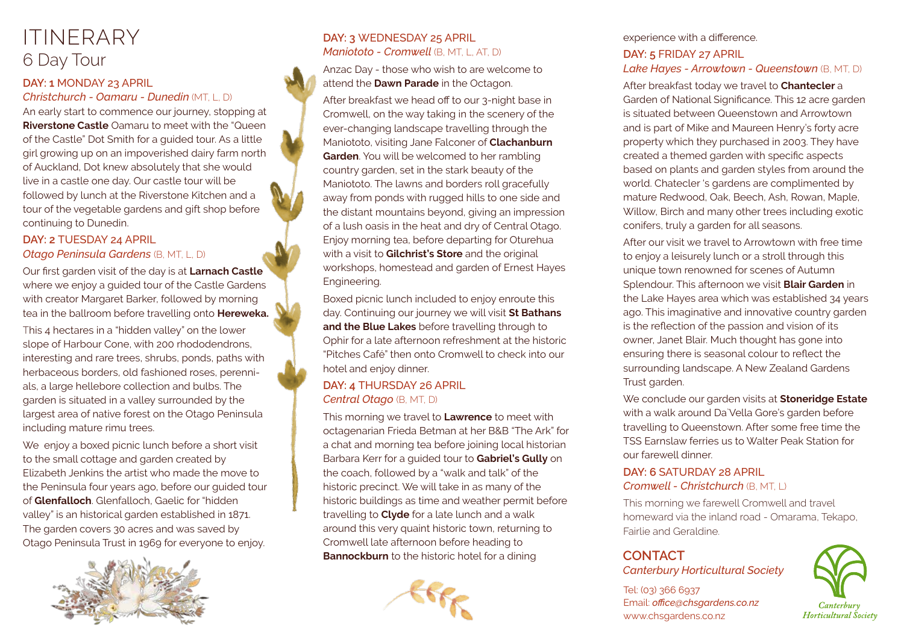## ITINERARY 6 Day Tour

#### **DAY: 1** MONDAY 23 APRIL

#### *Christchurch - Oamaru - Dunedin* (MT, L, D)

An early start to commence our journey, stopping at **Riverstone Castle** Oamaru to meet with the "Queen" of the Castle" Dot Smith for a guided tour. As a little girl growing up on an impoverished dairy farm north of Auckland, Dot knew absolutely that she would live in a castle one day. Our castle tour will be followed by lunch at the Riverstone Kitchen and a tour of the vegetable gardens and gift shop before continuing to Dunedin.

#### **DAY: 2** TUESDAY 24 APRIL *Otago Peninsula Gardens* (B, MT, L, D)

Our first garden visit of the day is at **Larnach Castle**  where we enjoy a guided tour of the Castle Gardens with creator Margaret Barker, followed by morning tea in the ballroom before travelling onto **Hereweka.**

This 4 hectares in a "hidden valley" on the lower slope of Harbour Cone, with 200 rhododendrons, interesting and rare trees, shrubs, ponds, paths with herbaceous borders, old fashioned roses, perennials, a large hellebore collection and bulbs. The garden is situated in a valley surrounded by the largest area of native forest on the Otago Peninsula including mature rimu trees.

We enjoy a boxed picnic lunch before a short visit to the small cottage and garden created by Elizabeth Jenkins the artist who made the move to the Peninsula four years ago, before our guided tour of **Glenfalloch**. Glenfalloch, Gaelic for "hidden valley" is an historical garden established in 1871. The garden covers 30 acres and was saved by Otago Peninsula Trust in 1969 for everyone to enjoy.



#### **DAY: 3** WEDNESDAY 25 APRIL *Maniototo - Cromwell* (B, MT, L, AT, D)

Anzac Day - those who wish to are welcome to attend the **Dawn Parade** in the Octagon.

After breakfast we head off to our 3-night base in Cromwell, on the way taking in the scenery of the ever-changing landscape travelling through the Maniototo, visiting Jane Falconer of **Clachanburn Garden**. You will be welcomed to her rambling country garden, set in the stark beauty of the Maniototo. The lawns and borders roll gracefully away from ponds with rugged hills to one side and the distant mountains beyond, giving an impression of a lush oasis in the heat and dry of Central Otago. Enjoy morning tea, before departing for Oturehua with a visit to **Gilchrist's Store** and the original workshops, homestead and garden of Ernest Hayes Engineering.

Boxed picnic lunch included to enjoy enroute this day. Continuing our journey we will visit **St Bathans and the Blue Lakes** before travelling through to Ophir for a late afternoon refreshment at the historic "Pitches Café" then onto Cromwell to check into our hotel and enjoy dinner.

#### **DAY: 4** THURSDAY 26 APRIL *Central Otago* (B, MT, D)

This morning we travel to **Lawrence** to meet with octagenarian Frieda Betman at her B&B "The Ark" for a chat and morning tea before joining local historian Barbara Kerr for a guided tour to **Gabriel's Gully** on the coach, followed by a "walk and talk" of the historic precinct. We will take in as many of the historic buildings as time and weather permit before travelling to **Clyde** for a late lunch and a walk around this very quaint historic town, returning to Cromwell late afternoon before heading to **Bannockburn** to the historic hotel for a dining



#### experience with a difference.

#### **DAY: 5** FRIDAY 27 APRIL *Lake Hayes - Arrowtown - Queenstown* (B, MT, D)

After breakfast today we travel to **Chantecler** a Garden of National Significance. This 12 acre garden is situated between Queenstown and Arrowtown and is part of Mike and Maureen Henry's forty acre property which they purchased in 2003. They have created a themed garden with specific aspects based on plants and garden styles from around the world. Chatecler 's gardens are complimented by mature Redwood, Oak, Beech, Ash, Rowan, Maple, Willow, Birch and many other trees including exotic conifers, truly a garden for all seasons.

After our visit we travel to Arrowtown with free time to enjoy a leisurely lunch or a stroll through this unique town renowned for scenes of Autumn Splendour. This afternoon we visit **Blair Garden** in the Lake Hayes area which was established 34 years ago. This imaginative and innovative country garden is the reflection of the passion and vision of its owner, Janet Blair. Much thought has gone into ensuring there is seasonal colour to reflect the surrounding landscape. A New Zealand Gardens Trust garden.

We conclude our garden visits at **Stoneridge Estate**  with a walk around Da`Vella Gore's garden before travelling to Queenstown. After some free time the TSS Earnslaw ferries us to Walter Peak Station for our farewell dinner.

#### **DAY: 6** SATURDAY 28 APRIL *Cromwell - Christchurch* (B, MT, L)

This morning we farewell Cromwell and travel homeward via the inland road - Omarama, Tekapo, Fairlie and Geraldine.

### **CONTACT**

*Canterbury Horticultural Society* 

Tel: (03) 366 6937 Email: *office@chsgardens.co.nz* www.chsgardens.co.nz

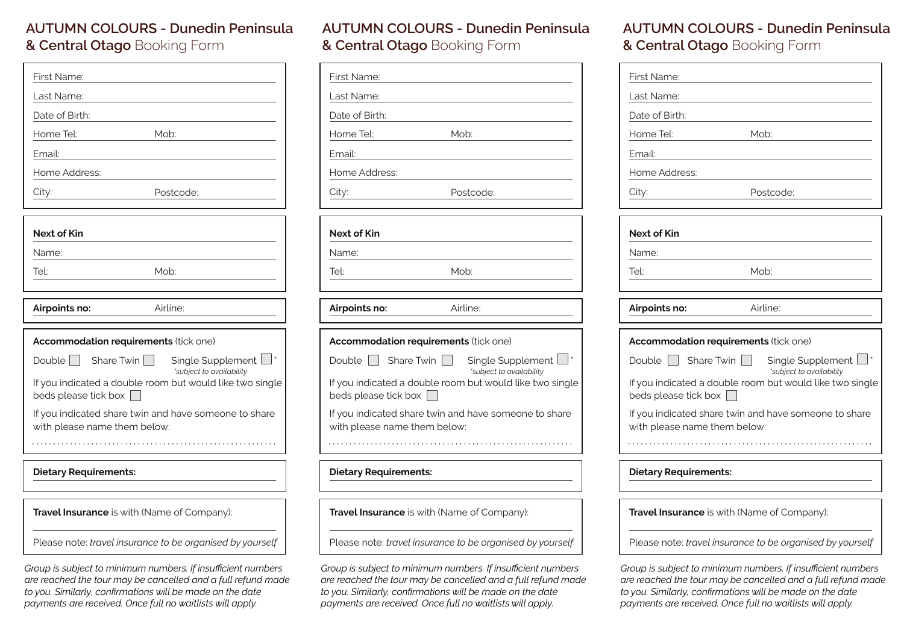### **AUTUMN COLOURS - Dunedin Peninsula & Central Otago** Booking Form

| First Name:                                                                                       |
|---------------------------------------------------------------------------------------------------|
| Last Name:                                                                                        |
| Date of Birth:                                                                                    |
| Home Tel:<br>Mob:                                                                                 |
| Email:                                                                                            |
| Home Address:                                                                                     |
| Postcode:<br>City:                                                                                |
|                                                                                                   |
| <b>Next of Kin</b>                                                                                |
| Name:                                                                                             |
| Mob:<br>Tel:                                                                                      |
|                                                                                                   |
| Airline:<br>Airpoints no:                                                                         |
|                                                                                                   |
| Accommodation requirements (tick one)                                                             |
| Share Twin    <br>Double    <br>Single Supplement $\Box$ <sup>*</sup><br>'subject to availability |
| If you indicated a double room but would like two single<br>beds please tick box                  |
| If you indicated share twin and have someone to share<br>with please name them below:             |
|                                                                                                   |
| <b>Dietary Requirements:</b>                                                                      |
|                                                                                                   |

**Travel Insurance** is with (Name of Company):

Please note: *travel insurance to be organised by yourself*

*Group is subject to minimum numbers. If insufficient numbers are reached the tour may be cancelled and a full refund made to you. Similarly, confirmations will be made on the date payments are received. Once full no waitlists will apply.*